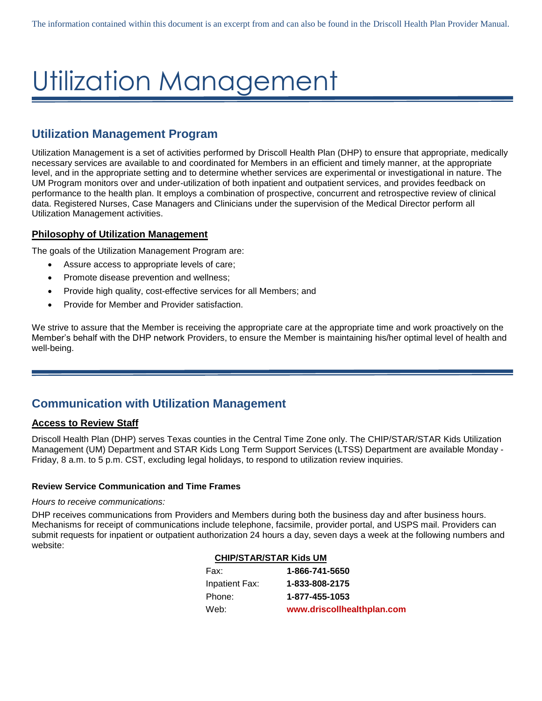# Utilization Management

# **Utilization Management Program**

Utilization Management is a set of activities performed by Driscoll Health Plan (DHP) to ensure that appropriate, medically necessary services are available to and coordinated for Members in an efficient and timely manner, at the appropriate level, and in the appropriate setting and to determine whether services are experimental or investigational in nature. The UM Program monitors over and under-utilization of both inpatient and outpatient services, and provides feedback on performance to the health plan. It employs a combination of prospective, concurrent and retrospective review of clinical data. Registered Nurses, Case Managers and Clinicians under the supervision of the Medical Director perform all Utilization Management activities.

# **Philosophy of Utilization Management**

The goals of the Utilization Management Program are:

- Assure access to appropriate levels of care;
- Promote disease prevention and wellness;
- Provide high quality, cost-effective services for all Members; and
- Provide for Member and Provider satisfaction.

We strive to assure that the Member is receiving the appropriate care at the appropriate time and work proactively on the Member's behalf with the DHP network Providers, to ensure the Member is maintaining his/her optimal level of health and well-being.

# **Communication with Utilization Management**

# **Access to Review Staff**

Driscoll Health Plan (DHP) serves Texas counties in the Central Time Zone only. The CHIP/STAR/STAR Kids Utilization Management (UM) Department and STAR Kids Long Term Support Services (LTSS) Department are available Monday - Friday, 8 a.m. to 5 p.m. CST, excluding legal holidays, to respond to utilization review inquiries.

# **Review Service Communication and Time Frames**

#### *Hours to receive communications:*

DHP receives communications from Providers and Members during both the business day and after business hours. Mechanisms for receipt of communications include telephone, facsimile, provider portal, and USPS mail. Providers can submit requests for inpatient or outpatient authorization 24 hours a day, seven days a week at the following numbers and website:

#### **CHIP/STAR/STAR Kids UM**

| Fax:           | 1-866-741-5650             |
|----------------|----------------------------|
| Inpatient Fax: | 1-833-808-2175             |
| Phone:         | 1-877-455-1053             |
| Web:           | www.driscollhealthplan.com |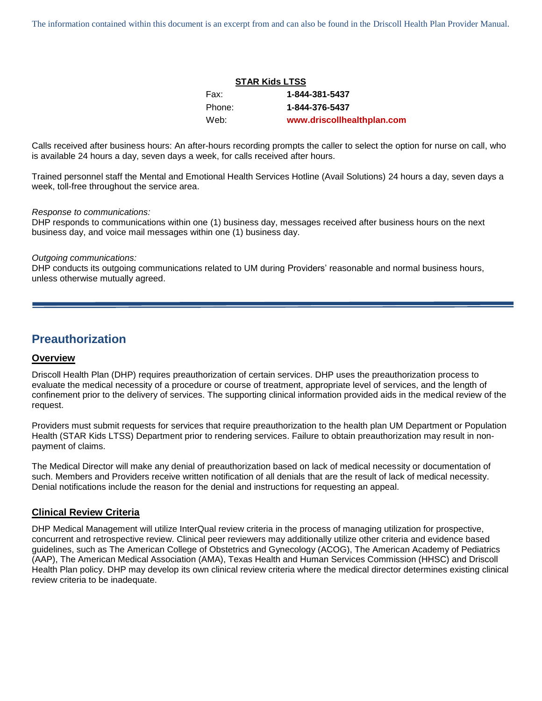The information contained within this document is an excerpt from and can also be found in the Driscoll Health Plan Provider Manual.

| <b>STAR Kids LTSS</b> |                            |  |
|-----------------------|----------------------------|--|
| Fax:                  | 1-844-381-5437             |  |
| Phone:                | 1-844-376-5437             |  |
| Web:                  | www.driscollhealthplan.com |  |

Calls received after business hours: An after-hours recording prompts the caller to select the option for nurse on call, who is available 24 hours a day, seven days a week, for calls received after hours.

Trained personnel staff the Mental and Emotional Health Services Hotline (Avail Solutions) 24 hours a day, seven days a week, toll-free throughout the service area.

#### *Response to communications:*

DHP responds to communications within one (1) business day, messages received after business hours on the next business day, and voice mail messages within one (1) business day.

#### *Outgoing communications:*

DHP conducts its outgoing communications related to UM during Providers' reasonable and normal business hours, unless otherwise mutually agreed.

# **Preauthorization**

#### **Overview**

Driscoll Health Plan (DHP) requires preauthorization of certain services. DHP uses the preauthorization process to evaluate the medical necessity of a procedure or course of treatment, appropriate level of services, and the length of confinement prior to the delivery of services. The supporting clinical information provided aids in the medical review of the request.

Providers must submit requests for services that require preauthorization to the health plan UM Department or Population Health (STAR Kids LTSS) Department prior to rendering services. Failure to obtain preauthorization may result in nonpayment of claims.

The Medical Director will make any denial of preauthorization based on lack of medical necessity or documentation of such. Members and Providers receive written notification of all denials that are the result of lack of medical necessity. Denial notifications include the reason for the denial and instructions for requesting an appeal.

#### **Clinical Review Criteria**

DHP Medical Management will utilize InterQual review criteria in the process of managing utilization for prospective, concurrent and retrospective review. Clinical peer reviewers may additionally utilize other criteria and evidence based guidelines, such as The American College of Obstetrics and Gynecology (ACOG), The American Academy of Pediatrics (AAP), The American Medical Association (AMA), Texas Health and Human Services Commission (HHSC) and Driscoll Health Plan policy. DHP may develop its own clinical review criteria where the medical director determines existing clinical review criteria to be inadequate.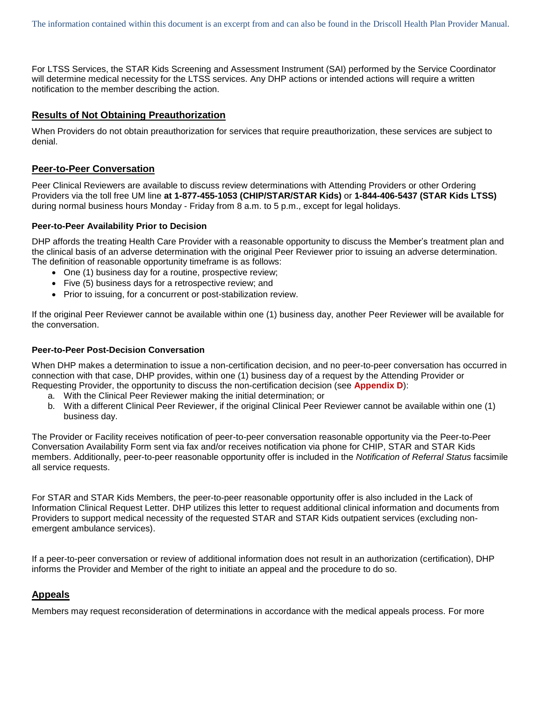For LTSS Services, the STAR Kids Screening and Assessment Instrument (SAI) performed by the Service Coordinator will determine medical necessity for the LTSS services. Any DHP actions or intended actions will require a written notification to the member describing the action.

## **Results of Not Obtaining Preauthorization**

When Providers do not obtain preauthorization for services that require preauthorization, these services are subject to denial.

## **Peer-to-Peer Conversation**

Peer Clinical Reviewers are available to discuss review determinations with Attending Providers or other Ordering Providers via the toll free UM line **at 1-877-455-1053 (CHIP/STAR/STAR Kids)** or **1-844-406-5437 (STAR Kids LTSS)** during normal business hours Monday - Friday from 8 a.m. to 5 p.m., except for legal holidays.

#### **Peer-to-Peer Availability Prior to Decision**

DHP affords the treating Health Care Provider with a reasonable opportunity to discuss the Member's treatment plan and the clinical basis of an adverse determination with the original Peer Reviewer prior to issuing an adverse determination. The definition of reasonable opportunity timeframe is as follows:

- One (1) business day for a routine, prospective review;
- Five (5) business days for a retrospective review; and
- Prior to issuing, for a concurrent or post-stabilization review.

If the original Peer Reviewer cannot be available within one (1) business day, another Peer Reviewer will be available for the conversation.

## **Peer-to-Peer Post-Decision Conversation**

When DHP makes a determination to issue a non-certification decision, and no peer-to-peer conversation has occurred in connection with that case, DHP provides, within one (1) business day of a request by the Attending Provider or Requesting Provider, the opportunity to discuss the non-certification decision (see **Appendix D**):

- a. With the Clinical Peer Reviewer making the initial determination; or
- b. With a different Clinical Peer Reviewer, if the original Clinical Peer Reviewer cannot be available within one (1) business day.

The Provider or Facility receives notification of peer-to-peer conversation reasonable opportunity via the Peer-to-Peer Conversation Availability Form sent via fax and/or receives notification via phone for CHIP, STAR and STAR Kids members. Additionally, peer-to-peer reasonable opportunity offer is included in the *Notification of Referral Status* facsimile all service requests.

For STAR and STAR Kids Members, the peer-to-peer reasonable opportunity offer is also included in the Lack of Information Clinical Request Letter. DHP utilizes this letter to request additional clinical information and documents from Providers to support medical necessity of the requested STAR and STAR Kids outpatient services (excluding nonemergent ambulance services).

If a peer-to-peer conversation or review of additional information does not result in an authorization (certification), DHP informs the Provider and Member of the right to initiate an appeal and the procedure to do so.

## **Appeals**

Members may request reconsideration of determinations in accordance with the medical appeals process. For more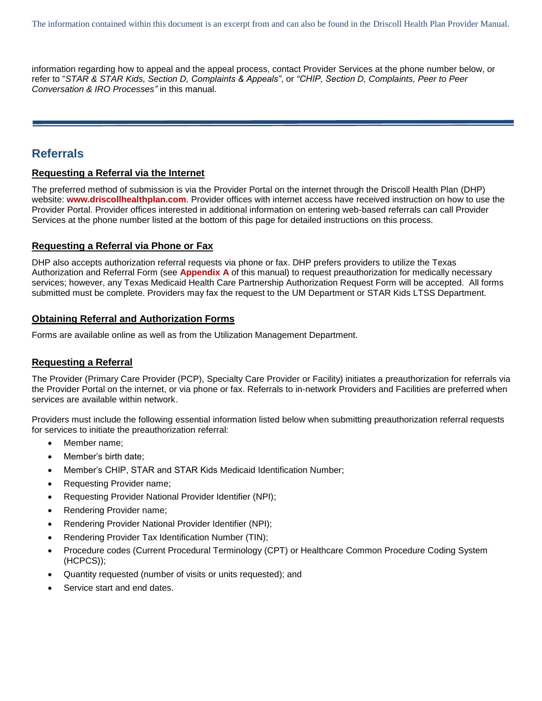information regarding how to appeal and the appeal process, contact Provider Services at the phone number below, or refer to "*STAR & STAR Kids, Section D, Complaints & Appeals"*, or *"CHIP, Section D, Complaints, Peer to Peer Conversation & IRO Processes"* in this manual.

# **Referrals**

# **Requesting a Referral via the Internet**

The preferred method of submission is via the Provider Portal on the internet through the Driscoll Health Plan (DHP) website: **[www.driscollhealthplan.com](http://www.driscollhealthplan.com/)**. Provider offices with internet access have received instruction on how to use the Provider Portal. Provider offices interested in additional information on entering web-based referrals can call Provider Services at the phone number listed at the bottom of this page for detailed instructions on this process.

# **Requesting a Referral via Phone or Fax**

DHP also accepts authorization referral requests via phone or fax. DHP prefers providers to utilize the Texas Authorization and Referral Form (see **Appendix A** of this manual) to request preauthorization for medically necessary services; however, any Texas Medicaid Health Care Partnership Authorization Request Form will be accepted. All forms submitted must be complete. Providers may fax the request to the UM Department or STAR Kids LTSS Department.

## **Obtaining Referral and Authorization Forms**

Forms are available online as well as from the Utilization Management Department.

# **Requesting a Referral**

The Provider (Primary Care Provider (PCP), Specialty Care Provider or Facility) initiates a preauthorization for referrals via the Provider Portal on the internet, or via phone or fax. Referrals to in-network Providers and Facilities are preferred when services are available within network.

Providers must include the following essential information listed below when submitting preauthorization referral requests for services to initiate the preauthorization referral:

- Member name;
- Member's birth date;
- Member's CHIP, STAR and STAR Kids Medicaid Identification Number;
- Requesting Provider name;
- Requesting Provider National Provider Identifier (NPI);
- Rendering Provider name;
- Rendering Provider National Provider Identifier (NPI);
- Rendering Provider Tax Identification Number (TIN);
- Procedure codes (Current Procedural Terminology (CPT) or Healthcare Common Procedure Coding System (HCPCS));
- Quantity requested (number of visits or units requested); and
- Service start and end dates.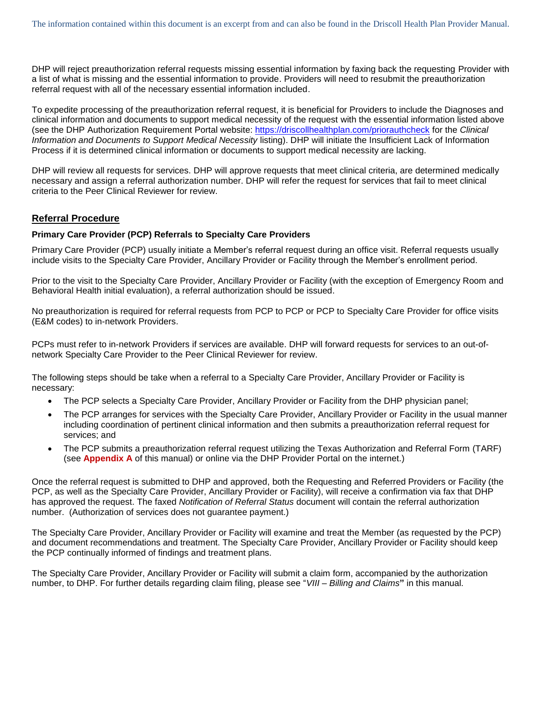DHP will reject preauthorization referral requests missing essential information by faxing back the requesting Provider with a list of what is missing and the essential information to provide. Providers will need to resubmit the preauthorization referral request with all of the necessary essential information included.

To expedite processing of the preauthorization referral request, it is beneficial for Providers to include the Diagnoses and clinical information and documents to support medical necessity of the request with the essential information listed above (see the DHP Authorization Requirement Portal website:<https://driscollhealthplan.com/priorauthcheck> for the *Clinical Information and Documents to Support Medical Necessity* listing). DHP will initiate the Insufficient Lack of Information Process if it is determined clinical information or documents to support medical necessity are lacking.

DHP will review all requests for services. DHP will approve requests that meet clinical criteria, are determined medically necessary and assign a referral authorization number. DHP will refer the request for services that fail to meet clinical criteria to the Peer Clinical Reviewer for review.

# **Referral Procedure**

#### **Primary Care Provider (PCP) Referrals to Specialty Care Providers**

Primary Care Provider (PCP) usually initiate a Member's referral request during an office visit. Referral requests usually include visits to the Specialty Care Provider, Ancillary Provider or Facility through the Member's enrollment period.

Prior to the visit to the Specialty Care Provider, Ancillary Provider or Facility (with the exception of Emergency Room and Behavioral Health initial evaluation), a referral authorization should be issued.

No preauthorization is required for referral requests from PCP to PCP or PCP to Specialty Care Provider for office visits (E&M codes) to in-network Providers.

PCPs must refer to in-network Providers if services are available. DHP will forward requests for services to an out-ofnetwork Specialty Care Provider to the Peer Clinical Reviewer for review.

The following steps should be take when a referral to a Specialty Care Provider, Ancillary Provider or Facility is necessary:

- The PCP selects a Specialty Care Provider, Ancillary Provider or Facility from the DHP physician panel;
- The PCP arranges for services with the Specialty Care Provider, Ancillary Provider or Facility in the usual manner including coordination of pertinent clinical information and then submits a preauthorization referral request for services; and
- The PCP submits a preauthorization referral request utilizing the Texas Authorization and Referral Form (TARF) (see **Appendix A** of this manual) or online via the DHP Provider Portal on the internet.)

Once the referral request is submitted to DHP and approved, both the Requesting and Referred Providers or Facility (the PCP, as well as the Specialty Care Provider, Ancillary Provider or Facility), will receive a confirmation via fax that DHP has approved the request. The faxed *Notification of Referral Status* document will contain the referral authorization number. (Authorization of services does not guarantee payment.)

The Specialty Care Provider, Ancillary Provider or Facility will examine and treat the Member (as requested by the PCP) and document recommendations and treatment. The Specialty Care Provider, Ancillary Provider or Facility should keep the PCP continually informed of findings and treatment plans.

The Specialty Care Provider, Ancillary Provider or Facility will submit a claim form, accompanied by the authorization number, to DHP. For further details regarding claim filing, please see "*VIII – Billing and Claims***"** in this manual.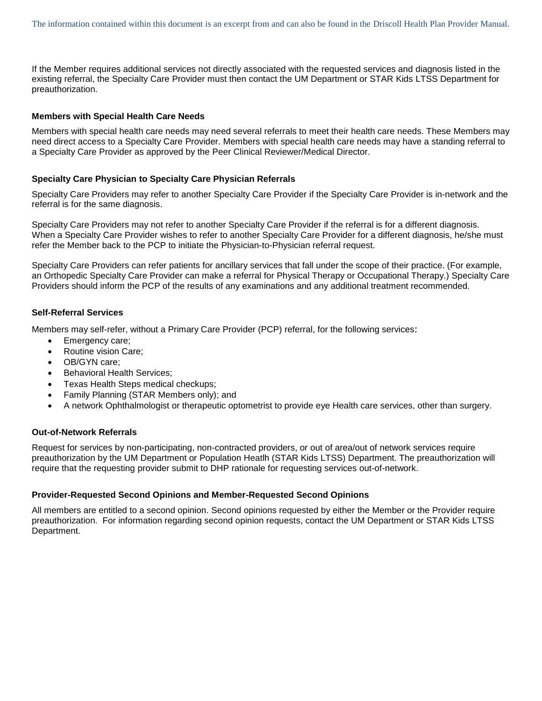If the Member requires additional services not directly associated with the requested services and diagnosis listed in the existing referral, the Specialty Care Provider must then contact the UM Department or STAR Kids LTSS Department for preauthorization.

#### **Members with Special Health Care Needs**

Members with special health care needs may need several referrals to meet their health care needs. These Members may need direct access to a Specialty Care Provider. Members with special health care needs may have a standing referral to a Specialty Care Provider as approved by the Peer Clinical Reviewer/Medical Director.

#### **Specialty Care Physician to Specialty Care Physician Referrals**

Specialty Care Providers may refer to another Specialty Care Provider if the Specialty Care Provider is in-network and the referral is for the same diagnosis.

Specialty Care Providers may not refer to another Specialty Care Provider if the referral is for a different diagnosis. When a Specialty Care Provider wishes to refer to another Specialty Care Provider for a different diagnosis, he/she must refer the Member back to the PCP to initiate the Physician-to-Physician referral request.

Specialty Care Providers can refer patients for ancillary services that fall under the scope of their practice. (For example, an Orthopedic Specialty Care Provider can make a referral for Physical Therapy or Occupational Therapy.) Specialty Care Providers should inform the PCP of the results of any examinations and any additional treatment recommended.

#### **Self-Referral Services**

Members may self-refer, without a Primary Care Provider (PCP) referral, for the following services:

- Emergency care;
- Routine vision Care;
- OB/GYN care;
- Behavioral Health Services;
- Texas Health Steps medical checkups;
- Family Planning (STAR Members only); and
- A network Ophthalmologist or therapeutic optometrist to provide eye Health care services, other than surgery.

#### **Out-of-Network Referrals**

Request for services by non-participating, non-contracted providers, or out of area/out of network services require preauthorization by the UM Department or Population Heatlh (STAR Kids LTSS) Department. The preauthorization will require that the requesting provider submit to DHP rationale for requesting services out-of-network.

#### **Provider-Requested Second Opinions and Member-Requested Second Opinions**

All members are entitled to a second opinion. Second opinions requested by either the Member or the Provider require preauthorization. For information regarding second opinion requests, contact the UM Department or STAR Kids LTSS Department.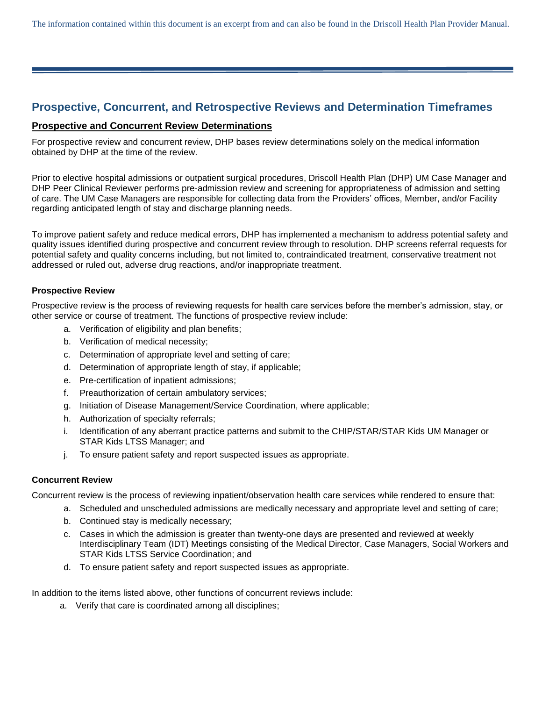The information contained within this document is an excerpt from and can also be found in the Driscoll Health Plan Provider Manual.

# **Prospective, Concurrent, and Retrospective Reviews and Determination Timeframes**

## **Prospective and Concurrent Review Determinations**

For prospective review and concurrent review, DHP bases review determinations solely on the medical information obtained by DHP at the time of the review.

Prior to elective hospital admissions or outpatient surgical procedures, Driscoll Health Plan (DHP) UM Case Manager and DHP Peer Clinical Reviewer performs pre-admission review and screening for appropriateness of admission and setting of care. The UM Case Managers are responsible for collecting data from the Providers' offices, Member, and/or Facility regarding anticipated length of stay and discharge planning needs.

To improve patient safety and reduce medical errors, DHP has implemented a mechanism to address potential safety and quality issues identified during prospective and concurrent review through to resolution. DHP screens referral requests for potential safety and quality concerns including, but not limited to, contraindicated treatment, conservative treatment not addressed or ruled out, adverse drug reactions, and/or inappropriate treatment.

#### **Prospective Review**

Prospective review is the process of reviewing requests for health care services before the member's admission, stay, or other service or course of treatment. The functions of prospective review include:

- a. Verification of eligibility and plan benefits;
- b. Verification of medical necessity;
- c. Determination of appropriate level and setting of care;
- d. Determination of appropriate length of stay, if applicable;
- e. Pre-certification of inpatient admissions;
- f. Preauthorization of certain ambulatory services;
- g. Initiation of Disease Management/Service Coordination, where applicable;
- h. Authorization of specialty referrals;
- i. Identification of any aberrant practice patterns and submit to the CHIP/STAR/STAR Kids UM Manager or STAR Kids LTSS Manager; and
- j. To ensure patient safety and report suspected issues as appropriate.

## **Concurrent Review**

Concurrent review is the process of reviewing inpatient/observation health care services while rendered to ensure that:

- a. Scheduled and unscheduled admissions are medically necessary and appropriate level and setting of care;
	- b. Continued stay is medically necessary;
	- c. Cases in which the admission is greater than twenty-one days are presented and reviewed at weekly Interdisciplinary Team (IDT) Meetings consisting of the Medical Director, Case Managers, Social Workers and STAR Kids LTSS Service Coordination; and
	- d. To ensure patient safety and report suspected issues as appropriate.

In addition to the items listed above, other functions of concurrent reviews include:

a. Verify that care is coordinated among all disciplines;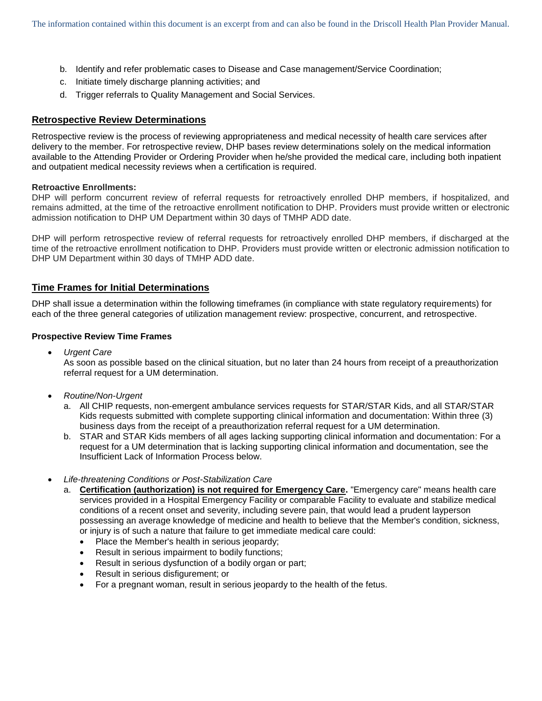- b. Identify and refer problematic cases to Disease and Case management/Service Coordination;
- c. Initiate timely discharge planning activities; and
- d. Trigger referrals to Quality Management and Social Services.

# **Retrospective Review Determinations**

Retrospective review is the process of reviewing appropriateness and medical necessity of health care services after delivery to the member. For retrospective review, DHP bases review determinations solely on the medical information available to the Attending Provider or Ordering Provider when he/she provided the medical care, including both inpatient and outpatient medical necessity reviews when a certification is required.

## **Retroactive Enrollments:**

DHP will perform concurrent review of referral requests for retroactively enrolled DHP members, if hospitalized, and remains admitted, at the time of the retroactive enrollment notification to DHP. Providers must provide written or electronic admission notification to DHP UM Department within 30 days of TMHP ADD date.

DHP will perform retrospective review of referral requests for retroactively enrolled DHP members, if discharged at the time of the retroactive enrollment notification to DHP. Providers must provide written or electronic admission notification to DHP UM Department within 30 days of TMHP ADD date.

# **Time Frames for Initial Determinations**

DHP shall issue a determination within the following timeframes (in compliance with state regulatory requirements) for each of the three general categories of utilization management review: prospective, concurrent, and retrospective.

## **Prospective Review Time Frames**

*Urgent Care*

As soon as possible based on the clinical situation, but no later than 24 hours from receipt of a preauthorization referral request for a UM determination.

- *Routine/Non-Urgent*
	- a. All CHIP requests, non-emergent ambulance services requests for STAR/STAR Kids, and all STAR/STAR Kids requests submitted with complete supporting clinical information and documentation: Within three (3) business days from the receipt of a preauthorization referral request for a UM determination.
	- b. STAR and STAR Kids members of all ages lacking supporting clinical information and documentation: For a request for a UM determination that is lacking supporting clinical information and documentation, see the Insufficient Lack of Information Process below.
- *Life-threatening Conditions or Post-Stabilization Care*
	- a. **Certification (authorization) is not required for Emergency Care.** "Emergency care" means health care services provided in a Hospital Emergency Facility or comparable Facility to evaluate and stabilize medical conditions of a recent onset and severity, including severe pain, that would lead a prudent layperson possessing an average knowledge of medicine and health to believe that the Member's condition, sickness, or injury is of such a nature that failure to get immediate medical care could:
		- Place the Member's health in serious jeopardy;
		- Result in serious impairment to bodily functions;
		- Result in serious dysfunction of a bodily organ or part;
		- Result in serious disfigurement; or
		- For a pregnant woman, result in serious jeopardy to the health of the fetus.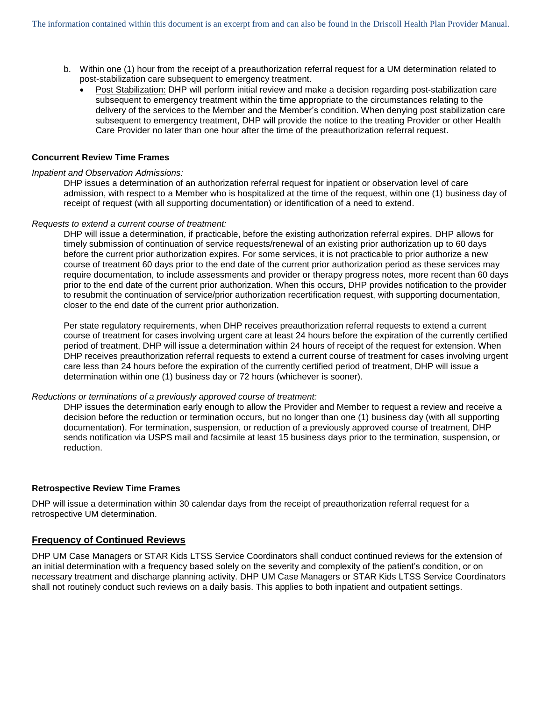- b. Within one (1) hour from the receipt of a preauthorization referral request for a UM determination related to post-stabilization care subsequent to emergency treatment.
	- Post Stabilization: DHP will perform initial review and make a decision regarding post-stabilization care subsequent to emergency treatment within the time appropriate to the circumstances relating to the delivery of the services to the Member and the Member's condition. When denying post stabilization care subsequent to emergency treatment, DHP will provide the notice to the treating Provider or other Health Care Provider no later than one hour after the time of the preauthorization referral request.

#### **Concurrent Review Time Frames**

#### *Inpatient and Observation Admissions:*

DHP issues a determination of an authorization referral request for inpatient or observation level of care admission, with respect to a Member who is hospitalized at the time of the request, within one (1) business day of receipt of request (with all supporting documentation) or identification of a need to extend.

#### *Requests to extend a current course of treatment:*

DHP will issue a determination, if practicable, before the existing authorization referral expires. DHP allows for timely submission of continuation of service requests/renewal of an existing prior authorization up to 60 days before the current prior authorization expires. For some services, it is not practicable to prior authorize a new course of treatment 60 days prior to the end date of the current prior authorization period as these services may require documentation, to include assessments and provider or therapy progress notes, more recent than 60 days prior to the end date of the current prior authorization. When this occurs, DHP provides notification to the provider to resubmit the continuation of service/prior authorization recertification request, with supporting documentation, closer to the end date of the current prior authorization.

Per state regulatory requirements, when DHP receives preauthorization referral requests to extend a current course of treatment for cases involving urgent care at least 24 hours before the expiration of the currently certified period of treatment, DHP will issue a determination within 24 hours of receipt of the request for extension. When DHP receives preauthorization referral requests to extend a current course of treatment for cases involving urgent care less than 24 hours before the expiration of the currently certified period of treatment, DHP will issue a determination within one (1) business day or 72 hours (whichever is sooner).

#### *Reductions or terminations of a previously approved course of treatment:*

DHP issues the determination early enough to allow the Provider and Member to request a review and receive a decision before the reduction or termination occurs, but no longer than one (1) business day (with all supporting documentation). For termination, suspension, or reduction of a previously approved course of treatment, DHP sends notification via USPS mail and facsimile at least 15 business days prior to the termination, suspension, or reduction.

#### **Retrospective Review Time Frames**

DHP will issue a determination within 30 calendar days from the receipt of preauthorization referral request for a retrospective UM determination.

## **Frequency of Continued Reviews**

DHP UM Case Managers or STAR Kids LTSS Service Coordinators shall conduct continued reviews for the extension of an initial determination with a frequency based solely on the severity and complexity of the patient's condition, or on necessary treatment and discharge planning activity. DHP UM Case Managers or STAR Kids LTSS Service Coordinators shall not routinely conduct such reviews on a daily basis. This applies to both inpatient and outpatient settings.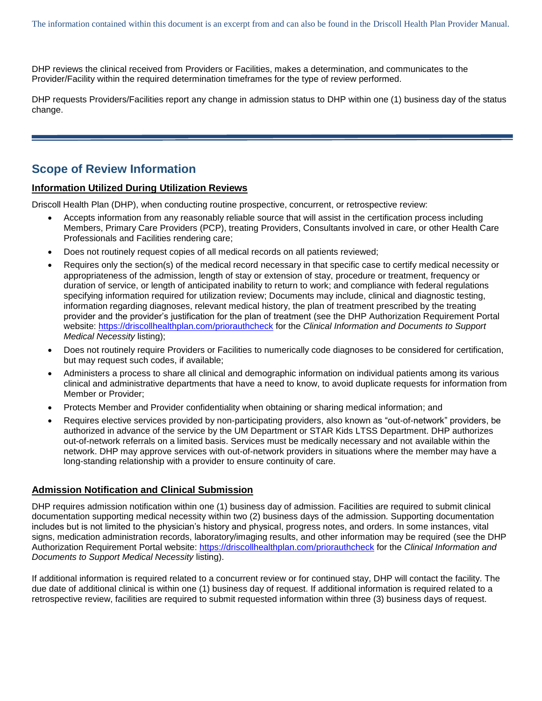DHP reviews the clinical received from Providers or Facilities, makes a determination, and communicates to the Provider/Facility within the required determination timeframes for the type of review performed.

DHP requests Providers/Facilities report any change in admission status to DHP within one (1) business day of the status change.

# **Scope of Review Information**

## **Information Utilized During Utilization Reviews**

Driscoll Health Plan (DHP), when conducting routine prospective, concurrent, or retrospective review:

- Accepts information from any reasonably reliable source that will assist in the certification process including Members, Primary Care Providers (PCP), treating Providers, Consultants involved in care, or other Health Care Professionals and Facilities rendering care;
- Does not routinely request copies of all medical records on all patients reviewed;
- Requires only the section(s) of the medical record necessary in that specific case to certify medical necessity or appropriateness of the admission, length of stay or extension of stay, procedure or treatment, frequency or duration of service, or length of anticipated inability to return to work; and compliance with federal regulations specifying information required for utilization review; Documents may include, clinical and diagnostic testing, information regarding diagnoses, relevant medical history, the plan of treatment prescribed by the treating provider and the provider's justification for the plan of treatment (see the DHP Authorization Requirement Portal website:<https://driscollhealthplan.com/priorauthcheck> for the *Clinical Information and Documents to Support Medical Necessity* listing);
- Does not routinely require Providers or Facilities to numerically code diagnoses to be considered for certification, but may request such codes, if available;
- Administers a process to share all clinical and demographic information on individual patients among its various clinical and administrative departments that have a need to know, to avoid duplicate requests for information from Member or Provider;
- Protects Member and Provider confidentiality when obtaining or sharing medical information; and
- Requires elective services provided by non-participating providers, also known as "out-of-network" providers, be authorized in advance of the service by the UM Department or STAR Kids LTSS Department. DHP authorizes out-of-network referrals on a limited basis. Services must be medically necessary and not available within the network. DHP may approve services with out-of-network providers in situations where the member may have a long-standing relationship with a provider to ensure continuity of care.

#### **Admission Notification and Clinical Submission**

DHP requires admission notification within one (1) business day of admission. Facilities are required to submit clinical documentation supporting medical necessity within two (2) business days of the admission. Supporting documentation includes but is not limited to the physician's history and physical, progress notes, and orders. In some instances, vital signs, medication administration records, laboratory/imaging results, and other information may be required (see the DHP Authorization Requirement Portal website:<https://driscollhealthplan.com/priorauthcheck> for the *Clinical Information and Documents to Support Medical Necessity* listing).

If additional information is required related to a concurrent review or for continued stay, DHP will contact the facility. The due date of additional clinical is within one (1) business day of request. If additional information is required related to a retrospective review, facilities are required to submit requested information within three (3) business days of request.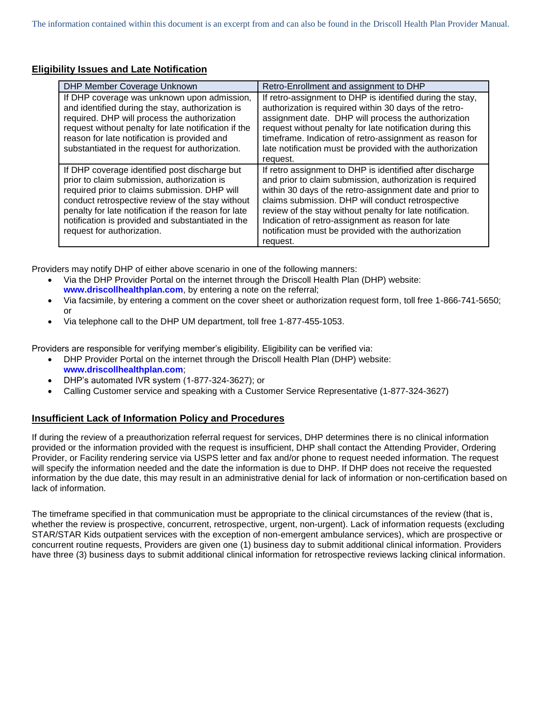# **Eligibility Issues and Late Notification**

| <b>DHP Member Coverage Unknown</b>                                                                                                                                                                                                                                                                                                           | Retro-Enrollment and assignment to DHP                                                                                                                                                                                                                                                                                                                                                                                      |
|----------------------------------------------------------------------------------------------------------------------------------------------------------------------------------------------------------------------------------------------------------------------------------------------------------------------------------------------|-----------------------------------------------------------------------------------------------------------------------------------------------------------------------------------------------------------------------------------------------------------------------------------------------------------------------------------------------------------------------------------------------------------------------------|
| If DHP coverage was unknown upon admission,<br>and identified during the stay, authorization is<br>required. DHP will process the authorization<br>request without penalty for late notification if the<br>reason for late notification is provided and<br>substantiated in the request for authorization.                                   | If retro-assignment to DHP is identified during the stay,<br>authorization is required within 30 days of the retro-<br>assignment date. DHP will process the authorization<br>request without penalty for late notification during this<br>timeframe. Indication of retro-assignment as reason for<br>late notification must be provided with the authorization<br>request.                                                 |
| If DHP coverage identified post discharge but<br>prior to claim submission, authorization is<br>required prior to claims submission. DHP will<br>conduct retrospective review of the stay without<br>penalty for late notification if the reason for late<br>notification is provided and substantiated in the<br>request for authorization. | If retro assignment to DHP is identified after discharge<br>and prior to claim submission, authorization is required<br>within 30 days of the retro-assignment date and prior to<br>claims submission. DHP will conduct retrospective<br>review of the stay without penalty for late notification.<br>Indication of retro-assignment as reason for late<br>notification must be provided with the authorization<br>request. |

Providers may notify DHP of either above scenario in one of the following manners:

- Via the DHP Provider Portal on the internet through the Driscoll Health Plan (DHP) website: **[www.driscollhealthplan.com](http://www.driscollhealthplan.com/)**, by entering a note on the referral;
- Via facsimile, by entering a comment on the cover sheet or authorization request form, toll free 1-866-741-5650; or
- Via telephone call to the DHP UM department, toll free 1-877-455-1053.

Providers are responsible for verifying member's eligibility. Eligibility can be verified via:

- DHP Provider Portal on the internet through the Driscoll Health Plan (DHP) website: **[www.driscollhealthplan.com](http://www.driscollhealthplan.com/)**;
- DHP's automated IVR system (1-877-324-3627); or
- Calling Customer service and speaking with a Customer Service Representative (1-877-324-3627)

# **Insufficient Lack of Information Policy and Procedures**

If during the review of a preauthorization referral request for services, DHP determines there is no clinical information provided or the information provided with the request is insufficient, DHP shall contact the Attending Provider, Ordering Provider, or Facility rendering service via USPS letter and fax and/or phone to request needed information. The request will specify the information needed and the date the information is due to DHP. If DHP does not receive the requested information by the due date, this may result in an administrative denial for lack of information or non-certification based on lack of information.

The timeframe specified in that communication must be appropriate to the clinical circumstances of the review (that is, whether the review is prospective, concurrent, retrospective, urgent, non-urgent). Lack of information requests (excluding STAR/STAR Kids outpatient services with the exception of non-emergent ambulance services), which are prospective or concurrent routine requests, Providers are given one (1) business day to submit additional clinical information. Providers have three (3) business days to submit additional clinical information for retrospective reviews lacking clinical information.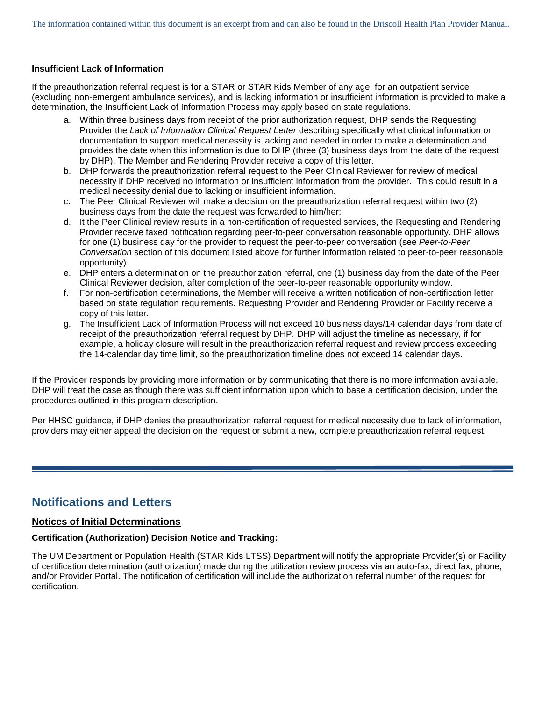## **Insufficient Lack of Information**

If the preauthorization referral request is for a STAR or STAR Kids Member of any age, for an outpatient service (excluding non-emergent ambulance services), and is lacking information or insufficient information is provided to make a determination, the Insufficient Lack of Information Process may apply based on state regulations.

- a. Within three business days from receipt of the prior authorization request, DHP sends the Requesting Provider the *Lack of Information Clinical Request Letter* describing specifically what clinical information or documentation to support medical necessity is lacking and needed in order to make a determination and provides the date when this information is due to DHP (three (3) business days from the date of the request by DHP). The Member and Rendering Provider receive a copy of this letter.
- b. DHP forwards the preauthorization referral request to the Peer Clinical Reviewer for review of medical necessity if DHP received no information or insufficient information from the provider. This could result in a medical necessity denial due to lacking or insufficient information.
- c. The Peer Clinical Reviewer will make a decision on the preauthorization referral request within two (2) business days from the date the request was forwarded to him/her;
- d. It the Peer Clinical review results in a non-certification of requested services, the Requesting and Rendering Provider receive faxed notification regarding peer-to-peer conversation reasonable opportunity. DHP allows for one (1) business day for the provider to request the peer-to-peer conversation (see *Peer-to-Peer Conversation* section of this document listed above for further information related to peer-to-peer reasonable opportunity).
- e. DHP enters a determination on the preauthorization referral, one (1) business day from the date of the Peer Clinical Reviewer decision, after completion of the peer-to-peer reasonable opportunity window.
- f. For non-certification determinations, the Member will receive a written notification of non-certification letter based on state regulation requirements. Requesting Provider and Rendering Provider or Facility receive a copy of this letter.
- g. The Insufficient Lack of Information Process will not exceed 10 business days/14 calendar days from date of receipt of the preauthorization referral request by DHP. DHP will adjust the timeline as necessary, if for example, a holiday closure will result in the preauthorization referral request and review process exceeding the 14-calendar day time limit, so the preauthorization timeline does not exceed 14 calendar days.

If the Provider responds by providing more information or by communicating that there is no more information available, DHP will treat the case as though there was sufficient information upon which to base a certification decision, under the procedures outlined in this program description.

Per HHSC guidance, if DHP denies the preauthorization referral request for medical necessity due to lack of information, providers may either appeal the decision on the request or submit a new, complete preauthorization referral request.

# **Notifications and Letters**

# **Notices of Initial Determinations**

# **Certification (Authorization) Decision Notice and Tracking:**

The UM Department or Population Health (STAR Kids LTSS) Department will notify the appropriate Provider(s) or Facility of certification determination (authorization) made during the utilization review process via an auto-fax, direct fax, phone, and/or Provider Portal. The notification of certification will include the authorization referral number of the request for certification.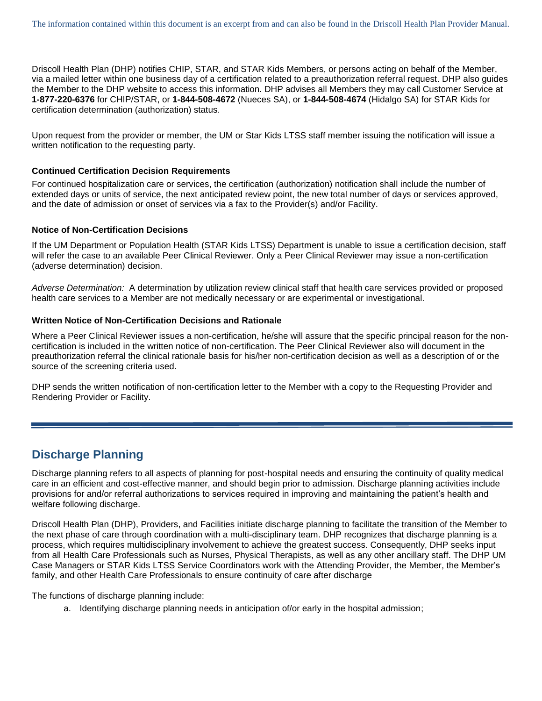Driscoll Health Plan (DHP) notifies CHIP, STAR, and STAR Kids Members, or persons acting on behalf of the Member, via a mailed letter within one business day of a certification related to a preauthorization referral request. DHP also guides the Member to the DHP website to access this information. DHP advises all Members they may call Customer Service at **1-877-220-6376** for CHIP/STAR, or **1-844-508-4672** (Nueces SA), or **1-844-508-4674** (Hidalgo SA) for STAR Kids for certification determination (authorization) status.

Upon request from the provider or member, the UM or Star Kids LTSS staff member issuing the notification will issue a written notification to the requesting party.

#### **Continued Certification Decision Requirements**

For continued hospitalization care or services, the certification (authorization) notification shall include the number of extended days or units of service, the next anticipated review point, the new total number of days or services approved, and the date of admission or onset of services via a fax to the Provider(s) and/or Facility.

#### **Notice of Non-Certification Decisions**

If the UM Department or Population Health (STAR Kids LTSS) Department is unable to issue a certification decision, staff will refer the case to an available Peer Clinical Reviewer. Only a Peer Clinical Reviewer may issue a non-certification (adverse determination) decision.

*Adverse Determination:* A determination by utilization review clinical staff that health care services provided or proposed health care services to a Member are not medically necessary or are experimental or investigational.

#### **Written Notice of Non-Certification Decisions and Rationale**

Where a Peer Clinical Reviewer issues a non-certification, he/she will assure that the specific principal reason for the noncertification is included in the written notice of non-certification. The Peer Clinical Reviewer also will document in the preauthorization referral the clinical rationale basis for his/her non-certification decision as well as a description of or the source of the screening criteria used.

DHP sends the written notification of non-certification letter to the Member with a copy to the Requesting Provider and Rendering Provider or Facility.

# **Discharge Planning**

Discharge planning refers to all aspects of planning for post-hospital needs and ensuring the continuity of quality medical care in an efficient and cost-effective manner, and should begin prior to admission. Discharge planning activities include provisions for and/or referral authorizations to services required in improving and maintaining the patient's health and welfare following discharge.

Driscoll Health Plan (DHP), Providers, and Facilities initiate discharge planning to facilitate the transition of the Member to the next phase of care through coordination with a multi-disciplinary team. DHP recognizes that discharge planning is a process, which requires multidisciplinary involvement to achieve the greatest success. Consequently, DHP seeks input from all Health Care Professionals such as Nurses, Physical Therapists, as well as any other ancillary staff. The DHP UM Case Managers or STAR Kids LTSS Service Coordinators work with the Attending Provider, the Member, the Member's family, and other Health Care Professionals to ensure continuity of care after discharge

The functions of discharge planning include:

a. Identifying discharge planning needs in anticipation of/or early in the hospital admission;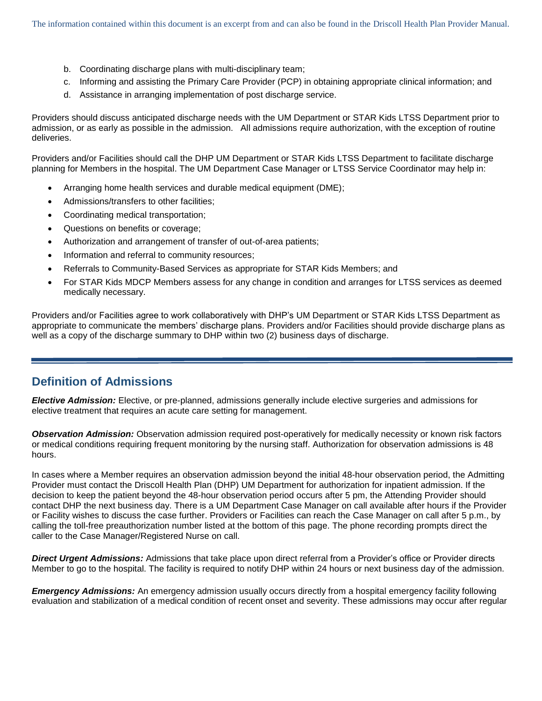- b. Coordinating discharge plans with multi-disciplinary team;
- c. Informing and assisting the Primary Care Provider (PCP) in obtaining appropriate clinical information; and
- d. Assistance in arranging implementation of post discharge service.

Providers should discuss anticipated discharge needs with the UM Department or STAR Kids LTSS Department prior to admission, or as early as possible in the admission. All admissions require authorization, with the exception of routine deliveries.

Providers and/or Facilities should call the DHP UM Department or STAR Kids LTSS Department to facilitate discharge planning for Members in the hospital. The UM Department Case Manager or LTSS Service Coordinator may help in:

- Arranging home health services and durable medical equipment (DME);
- Admissions/transfers to other facilities;
- Coordinating medical transportation;
- Questions on benefits or coverage;
- Authorization and arrangement of transfer of out-of-area patients;
- Information and referral to community resources;
- Referrals to Community-Based Services as appropriate for STAR Kids Members; and
- For STAR Kids MDCP Members assess for any change in condition and arranges for LTSS services as deemed medically necessary.

Providers and/or Facilities agree to work collaboratively with DHP's UM Department or STAR Kids LTSS Department as appropriate to communicate the members' discharge plans. Providers and/or Facilities should provide discharge plans as well as a copy of the discharge summary to DHP within two (2) business days of discharge.

# **Definition of Admissions**

*Elective Admission:* Elective, or pre-planned, admissions generally include elective surgeries and admissions for elective treatment that requires an acute care setting for management.

*Observation Admission:* Observation admission required post-operatively for medically necessity or known risk factors or medical conditions requiring frequent monitoring by the nursing staff. Authorization for observation admissions is 48 hours.

In cases where a Member requires an observation admission beyond the initial 48-hour observation period, the Admitting Provider must contact the Driscoll Health Plan (DHP) UM Department for authorization for inpatient admission. If the decision to keep the patient beyond the 48-hour observation period occurs after 5 pm, the Attending Provider should contact DHP the next business day. There is a UM Department Case Manager on call available after hours if the Provider or Facility wishes to discuss the case further. Providers or Facilities can reach the Case Manager on call after 5 p.m., by calling the toll-free preauthorization number listed at the bottom of this page. The phone recording prompts direct the caller to the Case Manager/Registered Nurse on call.

*Direct Urgent Admissions:* Admissions that take place upon direct referral from a Provider's office or Provider directs Member to go to the hospital. The facility is required to notify DHP within 24 hours or next business day of the admission.

*Emergency Admissions:* An emergency admission usually occurs directly from a hospital emergency facility following evaluation and stabilization of a medical condition of recent onset and severity. These admissions may occur after regular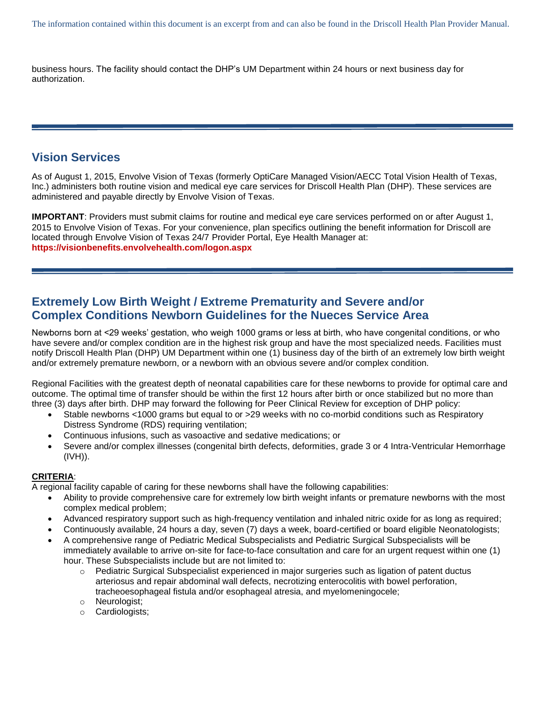business hours. The facility should contact the DHP's UM Department within 24 hours or next business day for authorization.

# **Vision Services**

As of August 1, 2015, Envolve Vision of Texas (formerly OptiCare Managed Vision/AECC Total Vision Health of Texas, Inc.) administers both routine vision and medical eye care services for Driscoll Health Plan (DHP). These services are administered and payable directly by Envolve Vision of Texas.

**IMPORTANT**: Providers must submit claims for routine and medical eye care services performed on or after August 1, 2015 to Envolve Vision of Texas. For your convenience, plan specifics outlining the benefit information for Driscoll are located through Envolve Vision of Texas 24/7 Provider Portal, Eye Health Manager at: **[https://visionbenefits.envolvehealth.com/logon.aspx](https://urldefense.proofpoint.com/v2/url?u=https-3A__visionbenefits.envolvehealth.com_logon.aspx&d=CwMFAg&c=6oRak1XSpk-gw9Qzyxc58zUVpu6Uqcewbgz7wD95GD8&r=S57C86jVntZiEKGP414QcckannLz5ggZmb9W-0XxFyo&m=bQ6nZXc9VfzbJPvZdgONVnaNn1ZUSgtqXJ0LR6Zbo1o&s=7e6w01XtJDTT7JGlge6zpL0p76TiHoFkXCDmF5ujgZk&e=)**

# **Extremely Low Birth Weight / Extreme Prematurity and Severe and/or Complex Conditions Newborn Guidelines for the Nueces Service Area**

Newborns born at <29 weeks' gestation, who weigh 1000 grams or less at birth, who have congenital conditions, or who have severe and/or complex condition are in the highest risk group and have the most specialized needs. Facilities must notify Driscoll Health Plan (DHP) UM Department within one (1) business day of the birth of an extremely low birth weight and/or extremely premature newborn, or a newborn with an obvious severe and/or complex condition.

Regional Facilities with the greatest depth of neonatal capabilities care for these newborns to provide for optimal care and outcome. The optimal time of transfer should be within the first 12 hours after birth or once stabilized but no more than three (3) days after birth. DHP may forward the following for Peer Clinical Review for exception of DHP policy:

- Stable newborns <1000 grams but equal to or >29 weeks with no co-morbid conditions such as Respiratory Distress Syndrome (RDS) requiring ventilation;
- Continuous infusions, such as vasoactive and sedative medications; or
- Severe and/or complex illnesses (congenital birth defects, deformities, grade 3 or 4 Intra-Ventricular Hemorrhage (IVH)).

# **CRITERIA**:

A regional facility capable of caring for these newborns shall have the following capabilities:

- Ability to provide comprehensive care for extremely low birth weight infants or premature newborns with the most complex medical problem;
- Advanced respiratory support such as high-frequency ventilation and inhaled nitric oxide for as long as required;
- Continuously available, 24 hours a day, seven (7) days a week, board-certified or board eligible Neonatologists;
- A comprehensive range of Pediatric Medical Subspecialists and Pediatric Surgical Subspecialists will be immediately available to arrive on-site for face-to-face consultation and care for an urgent request within one (1) hour. These Subspecialists include but are not limited to:
	- $\circ$  Pediatric Surgical Subspecialist experienced in major surgeries such as ligation of patent ductus arteriosus and repair abdominal wall defects, necrotizing enterocolitis with bowel perforation, tracheoesophageal fistula and/or esophageal atresia, and myelomeningocele;
	- o Neurologist;
	- o Cardiologists;